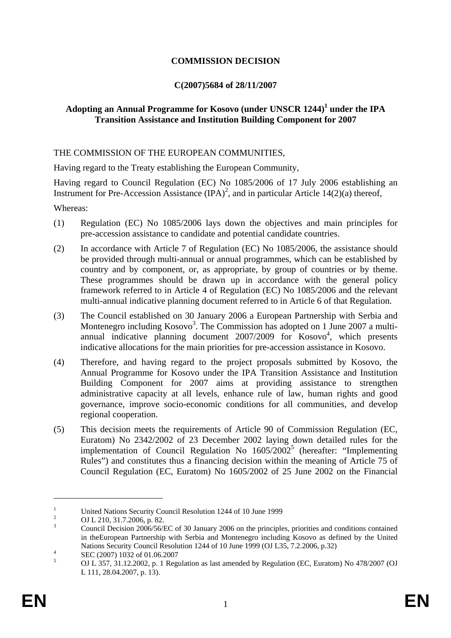# **COMMISSION DECISION**

### **C(2007)5684 of 28/11/2007**

# **Adopting an Annual Programme for Kosovo (under UNSCR 1244)<sup>1</sup> under the IPA Transition Assistance and Institution Building Component for 2007**

### THE COMMISSION OF THE EUROPEAN COMMUNITIES,

Having regard to the Treaty establishing the European Community,

Having regard to Council Regulation (EC) No 1085/2006 of 17 July 2006 establishing an Instrument for Pre-Accession Assistance  $(IPA)^2$ , and in particular Article 14(2)(a) thereof,

Whereas:

- (1) Regulation (EC) No 1085/2006 lays down the objectives and main principles for pre-accession assistance to candidate and potential candidate countries.
- (2) In accordance with Article 7 of Regulation (EC) No 1085/2006, the assistance should be provided through multi-annual or annual programmes, which can be established by country and by component, or, as appropriate, by group of countries or by theme. These programmes should be drawn up in accordance with the general policy framework referred to in Article 4 of Regulation (EC) No 1085/2006 and the relevant multi-annual indicative planning document referred to in Article 6 of that Regulation.
- (3) The Council established on 30 January 2006 a European Partnership with Serbia and Montenegro including  $Kosovo^3$ . The Commission has adopted on 1 June 2007 a multiannual indicative planning document  $2007/2009$  for  $Kosovo<sup>4</sup>$ , which presents indicative allocations for the main priorities for pre-accession assistance in Kosovo.
- (4) Therefore, and having regard to the project proposals submitted by Kosovo, the Annual Programme for Kosovo under the IPA Transition Assistance and Institution Building Component for 2007 aims at providing assistance to strengthen administrative capacity at all levels, enhance rule of law, human rights and good governance, improve socio-economic conditions for all communities, and develop regional cooperation.
- (5) This decision meets the requirements of Article 90 of Commission Regulation (EC, Euratom) No 2342/2002 of 23 December 2002 laying down detailed rules for the implementation of Council Regulation No  $1605/2002^5$  (hereafter: "Implementing Rules") and constitutes thus a financing decision within the meaning of Article 75 of Council Regulation (EC, Euratom) No 1605/2002 of 25 June 2002 on the Financial

<u>.</u>

<sup>1</sup> United Nations Security Council Resolution 1244 of 10 June 1999

<sup>2</sup> OJ L 210, 31.7.2006, p. 82.

<sup>3</sup> Council Decision 2006/56/EC of 30 January 2006 on the principles, priorities and conditions contained in theEuropean Partnership with Serbia and Montenegro including Kosovo as defined by the United Nations Security Council Resolution 1244 of 10 June 1999 (OJ L35, 7.2.2006, p.32)

SEC (2007) 1032 of 01.06.2007

<sup>5</sup> OJ L 357, 31.12.2002, p. 1 Regulation as last amended by Regulation (EC, Euratom) No 478/2007 (OJ L 111, 28.04.2007, p. 13).